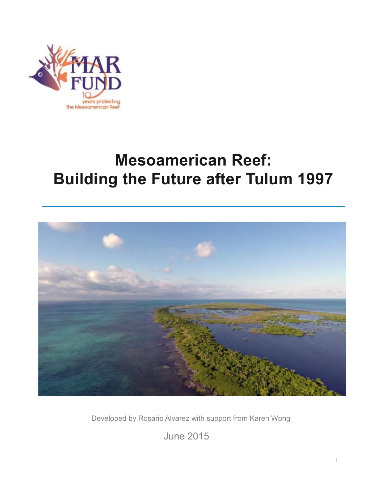

# **Mesoamerican Reef: Building the Future after Tulum 1997**



Developed by Rosario Alvarez with support from Karen Wong

June 2015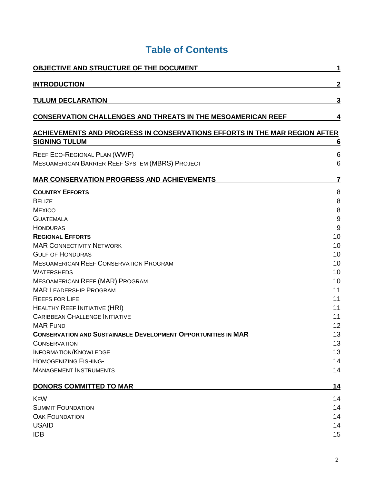| OBJECTIVE AND STRUCTURE OF THE DOCUMENT                                                                                                                                                                                                                                                                                                                                                                                                                                                                                                                                                                                                                         | 1                                                                                                                         |
|-----------------------------------------------------------------------------------------------------------------------------------------------------------------------------------------------------------------------------------------------------------------------------------------------------------------------------------------------------------------------------------------------------------------------------------------------------------------------------------------------------------------------------------------------------------------------------------------------------------------------------------------------------------------|---------------------------------------------------------------------------------------------------------------------------|
| <b>INTRODUCTION</b>                                                                                                                                                                                                                                                                                                                                                                                                                                                                                                                                                                                                                                             | 2                                                                                                                         |
| <b>TULUM DECLARATION</b>                                                                                                                                                                                                                                                                                                                                                                                                                                                                                                                                                                                                                                        | 3                                                                                                                         |
| <b>CONSERVATION CHALLENGES AND THREATS IN THE MESOAMERICAN REEF</b>                                                                                                                                                                                                                                                                                                                                                                                                                                                                                                                                                                                             | 4                                                                                                                         |
| <b>ACHIEVEMENTS AND PROGRESS IN CONSERVATIONS EFFORTS IN THE MAR REGION AFTER</b>                                                                                                                                                                                                                                                                                                                                                                                                                                                                                                                                                                               |                                                                                                                           |
| <b>SIGNING TULUM</b>                                                                                                                                                                                                                                                                                                                                                                                                                                                                                                                                                                                                                                            | 6                                                                                                                         |
| REEF ECO-REGIONAL PLAN (WWF)<br>MESOAMERICAN BARRIER REEF SYSTEM (MBRS) PROJECT                                                                                                                                                                                                                                                                                                                                                                                                                                                                                                                                                                                 | 6<br>6                                                                                                                    |
| <b>MAR CONSERVATION PROGRESS AND ACHIEVEMENTS</b>                                                                                                                                                                                                                                                                                                                                                                                                                                                                                                                                                                                                               | 7                                                                                                                         |
| <b>COUNTRY EFFORTS</b><br><b>BELIZE</b><br><b>MEXICO</b><br><b>GUATEMALA</b><br><b>HONDURAS</b><br><b>REGIONAL EFFORTS</b><br><b>MAR CONNECTIVITY NETWORK</b><br><b>GULF OF HONDURAS</b><br><b>MESOAMERICAN REEF CONSERVATION PROGRAM</b><br><b>WATERSHEDS</b><br><b>MESOAMERICAN REEF (MAR) PROGRAM</b><br><b>MAR LEADERSHIP PROGRAM</b><br><b>REEFS FOR LIFE</b><br>HEALTHY REEF INITIATIVE (HRI)<br><b>CARIBBEAN CHALLENGE INITIATIVE</b><br><b>MAR FUND</b><br><b>CONSERVATION AND SUSTAINABLE DEVELOPMENT OPPORTUNITIES IN MAR</b><br><b>CONSERVATION</b><br><b>INFORMATION/KNOWLEDGE</b><br><b>HOMOGENIZING FISHING-</b><br><b>MANAGEMENT INSTRUMENTS</b> | 8<br>8<br>8<br>$9\,$<br>9<br>10<br>10<br>10<br>10<br>10<br>10<br>11<br>11<br>11<br>11<br>12<br>13<br>13<br>13<br>14<br>14 |
| <b>DONORS COMMITTED TO MAR</b>                                                                                                                                                                                                                                                                                                                                                                                                                                                                                                                                                                                                                                  | 14                                                                                                                        |
| <b>KFW</b><br><b>SUMMIT FOUNDATION</b><br><b>OAK FOUNDATION</b><br><b>USAID</b><br><b>IDB</b>                                                                                                                                                                                                                                                                                                                                                                                                                                                                                                                                                                   | 14<br>14<br>14<br>14<br>15                                                                                                |

# **Table of Contents**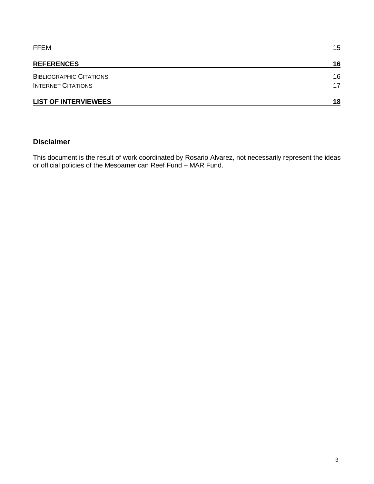| <b>FFEM</b><br><b>REFERENCES</b> | 15 |
|----------------------------------|----|
|                                  | 16 |
| <b>BIBLIOGRAPHIC CITATIONS</b>   | 16 |
| <b>INTERNET CITATIONS</b>        | 17 |
| <b>LIST OF INTERVIEWEES</b>      | 18 |

## **Disclaimer**

This document is the result of work coordinated by Rosario Alvarez, not necessarily represent the ideas or official policies of the Mesoamerican Reef Fund – MAR Fund.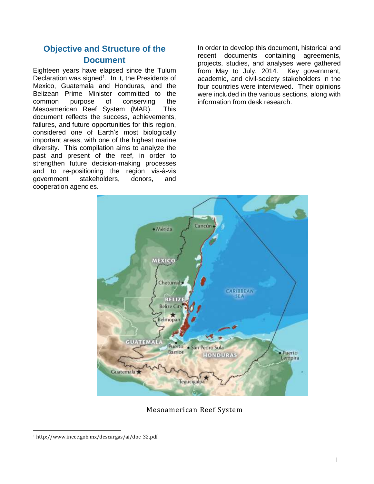# **Objective and Structure of the Document**

Eighteen years have elapsed since the Tulum Declaration was signed<sup>1</sup>. In it, the Presidents of Mexico, Guatemala and Honduras, and the Belizean Prime Minister committed to the common purpose of conserving the Mesoamerican Reef System (MAR). This document reflects the success, achievements, failures, and future opportunities for this region, considered one of Earth's most biologically important areas, with one of the highest marine diversity. This compilation aims to analyze the past and present of the reef, in order to strengthen future decision-making processes and to re-positioning the region vis-à-vis government stakeholders, donors, and cooperation agencies.

In order to develop this document, historical and recent documents containing agreements, projects, studies, and analyses were gathered from May to July, 2014. Key government, academic, and civil-society stakeholders in the four countries were interviewed. Their opinions were included in the various sections, along with information from desk research.



Mesoamerican Reef System

l

<sup>1</sup> http://www.inecc.gob.mx/descargas/ai/doc\_32.pdf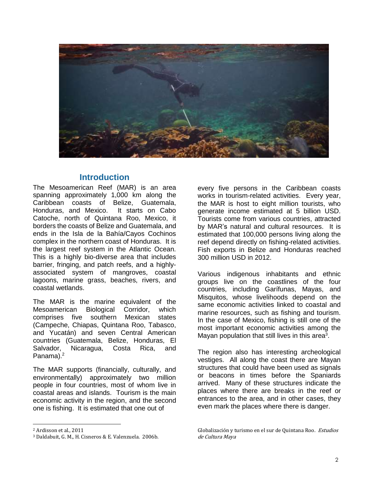

# **Introduction**

The Mesoamerican Reef (MAR) is an area spanning approximately 1,000 km along the Caribbean coasts of Belize, Guatemala, Honduras, and Mexico. It starts on Cabo Catoche, north of Quintana Roo, Mexico, it borders the coasts of Belize and Guatemala, and ends in the Isla de la Bahía/Cayos Cochinos complex in the northern coast of Honduras. It is the largest reef system in the Atlantic Ocean. This is a highly bio-diverse area that includes barrier, fringing, and patch reefs, and a highlyassociated system of mangroves, coastal lagoons, marine grass, beaches, rivers, and coastal wetlands.

The MAR is the marine equivalent of the Mesoamerican Biological Corridor, which comprises five southern Mexican states (Campeche, Chiapas, Quintana Roo, Tabasco, and Yucatán) and seven Central American countries (Guatemala, Belize, Honduras, El Salvador, Nicaragua, Costa Rica, and Panama). 2

The MAR supports (financially, culturally, and environmentally) approximately two million people in four countries, most of whom live in coastal areas and islands. Tourism is the main economic activity in the region, and the second one is fishing. It is estimated that one out of

l

every five persons in the Caribbean coasts works in tourism-related activities. Every year, the MAR is host to eight million tourists, who generate income estimated at 5 billion USD. Tourists come from various countries, attracted by MAR's natural and cultural resources. It is estimated that 100,000 persons living along the reef depend directly on fishing-related activities. Fish exports in Belize and Honduras reached 300 million USD in 2012.

Various indigenous inhabitants and ethnic groups live on the coastlines of the four countries, including Garífunas, Mayas, and Misquitos, whose livelihoods depend on the same economic activities linked to coastal and marine resources, such as fishing and tourism. In the case of Mexico, fishing is still one of the most important economic activities among the Mayan population that still lives in this area $3$ .

The region also has interesting archeological vestiges. All along the coast there are Mayan structures that could have been used as signals or beacons in times before the Spaniards arrived. Many of these structures indicate the places where there are breaks in the reef or entrances to the area, and in other cases, they even mark the places where there is danger.

<sup>2</sup> Ardisson et al., 2011

<sup>3</sup> Daldabuit, G. M., H. Cisneros & E. Valenzuela. 2006b.

Globalización y turismo en el sur de Quintana Roo. Estudios de Cultura Maya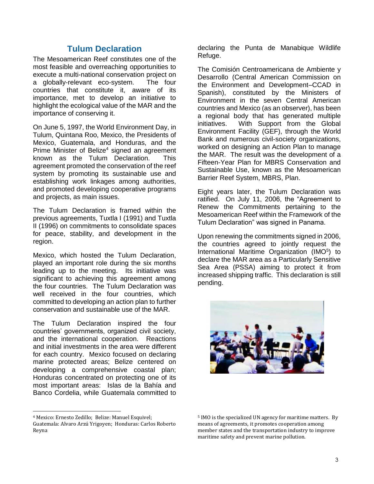# **Tulum Declaration**

The Mesoamerican Reef constitutes one of the most feasible and overreaching opportunities to execute a multi-national conservation project on a globally-relevant eco-system. The four countries that constitute it, aware of its importance, met to develop an initiative to highlight the ecological value of the MAR and the importance of conserving it.

On June 5, 1997, the World Environment Day, in Tulum, Quintana Roo, Mexico, the Presidents of Mexico, Guatemala, and Honduras, and the Prime Minister of Belize<sup>4</sup> signed an agreement known as the Tulum Declaration. This agreement promoted the conservation of the reef system by promoting its sustainable use and establishing work linkages among authorities, and promoted developing cooperative programs and projects, as main issues.

The Tulum Declaration is framed within the previous agreements, Tuxtla I (1991) and Tuxtla II (1996) on commitments to consolidate spaces for peace, stability, and development in the region.

Mexico, which hosted the Tulum Declaration, played an important role during the six months leading up to the meeting. Its initiative was significant to achieving this agreement among the four countries. The Tulum Declaration was well received in the four countries, which committed to developing an action plan to further conservation and sustainable use of the MAR.

The Tulum Declaration inspired the four countries' governments, organized civil society, and the international cooperation. Reactions and initial investments in the area were different for each country. Mexico focused on declaring marine protected areas; Belize centered on developing a comprehensive coastal plan; Honduras concentrated on protecting one of its most important areas: Islas de la Bahía and Banco Cordelia, while Guatemala committed to

 $\overline{a}$ 

declaring the Punta de Manabique Wildlife Refuge.

The Comisión Centroamericana de Ambiente y Desarrollo (Central American Commission on the Environment and Development–CCAD in Spanish), constituted by the Ministers of Environment in the seven Central American countries and Mexico (as an observer), has been a regional body that has generated multiple initiatives. With Support from the Global Environment Facility (GEF), through the World Bank and numerous civil-society organizations, worked on designing an Action Plan to manage the MAR. The result was the development of a Fifteen-Year Plan for MBRS Conservation and Sustainable Use, known as the Mesoamerican Barrier Reef System, MBRS, Plan.

Eight years later, the Tulum Declaration was ratified. On July 11, 2006, the "Agreement to Renew the Commitments pertaining to the Mesoamerican Reef within the Framework of the Tulum Declaration" was signed in Panama.

Upon renewing the commitments signed in 2006, the countries agreed to jointly request the International Maritime Organization (IMO<sup>5</sup>) to declare the MAR area as a Particularly Sensitive Sea Area (PSSA) aiming to protect it from increased shipping traffic. This declaration is still pending.



<sup>4</sup> Mexico: Ernesto Zedillo; Belize: Manuel Esquivel;

Guatemala: Alvaro Arzú Yrigoyen; Honduras: Carlos Roberto Reyna

<sup>5</sup> IMO is the specialized UN agency for maritime matters. By means of agreements, it promotes cooperation among member states and the transportation industry to improve maritime safety and prevent marine pollution.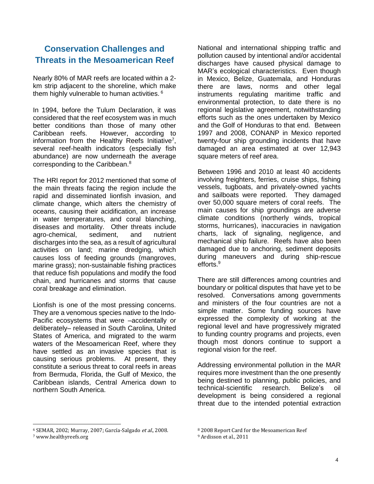# **Conservation Challenges and Threats in the Mesoamerican Reef**

Nearly 80% of MAR reefs are located within a 2 km strip adjacent to the shoreline, which make them highly vulnerable to human activities. <sup>6</sup>

In 1994, before the Tulum Declaration, it was considered that the reef ecosystem was in much better conditions than those of many other Caribbean reefs. However, according to information from the Healthy Reefs Initiative<sup>7</sup>, several reef-health indicators (especially fish abundance) are now underneath the average corresponding to the Caribbean.<sup>8</sup>

The HRI report for 2012 mentioned that some of the main threats facing the region include the rapid and disseminated lionfish invasion, and climate change, which alters the chemistry of oceans, causing their acidification, an increase in water temperatures, and coral blanching, diseases and mortality. Other threats include agro-chemical, sediment, and nutrient discharges into the sea, as a result of agricultural activities on land; marine dredging, which causes loss of feeding grounds (mangroves, marine grass); non-sustainable fishing practices that reduce fish populations and modify the food chain, and hurricanes and storms that cause coral breakage and elimination.

Lionfish is one of the most pressing concerns. They are a venomous species native to the Indo-Pacific ecosystems that were –accidentally or deliberately– released in South Carolina, United States of America, and migrated to the warm waters of the Mesoamerican Reef, where they have settled as an invasive species that is causing serious problems. At present, they constitute a serious threat to coral reefs in areas from Bermuda, Florida, the Gulf of Mexico, the Caribbean islands, Central America down to northern South America.

National and international shipping traffic and pollution caused by intentional and/or accidental discharges have caused physical damage to MAR's ecological characteristics. Even though in Mexico, Belize, Guatemala, and Honduras there are laws, norms and other legal instruments regulating maritime traffic and environmental protection, to date there is no regional legislative agreement, notwithstanding efforts such as the ones undertaken by Mexico and the Golf of Honduras to that end. Between 1997 and 2008, CONANP in Mexico reported twenty-four ship grounding incidents that have damaged an area estimated at over 12,943 square meters of reef area.

Between 1996 and 2010 at least 40 accidents involving freighters, ferries, cruise ships, fishing vessels, tugboats, and privately-owned yachts and sailboats were reported. They damaged over 50,000 square meters of coral reefs. The main causes for ship groundings are adverse climate conditions (northerly winds, tropical storms, hurricanes), inaccuracies in navigation charts, lack of signaling, negligence, and mechanical ship failure. Reefs have also been damaged due to anchoring, sediment deposits during maneuvers and during ship-rescue efforts.<sup>9</sup>

There are still differences among countries and boundary or political disputes that have yet to be resolved. Conversations among governments and ministers of the four countries are not a simple matter. Some funding sources have expressed the complexity of working at the regional level and have progressively migrated to funding country programs and projects, even though most donors continue to support a regional vision for the reef.

Addressing environmental pollution in the MAR requires more investment than the one presently being destined to planning, public policies, and technical-scientific research. Belize's oil development is being considered a regional threat due to the intended potential extraction

l

<sup>6</sup> SEMAR, 2002; Murray, 2007; García-Salgado et al., 2008.

<sup>7</sup> www.healthyreefs.org

<sup>8</sup> 2008 Report Card for the Mesoamerican Reef

<sup>9</sup> Ardisson et al., 2011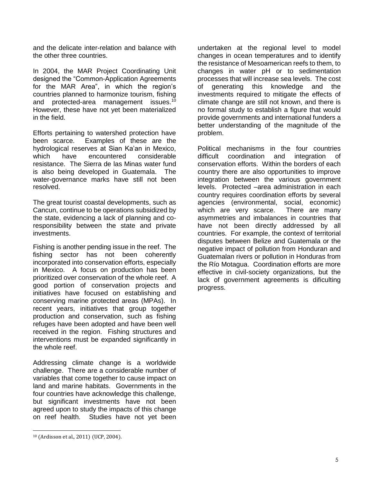and the delicate inter-relation and balance with the other three countries.

In 2004, the MAR Project Coordinating Unit designed the "Common-Application Agreements for the MAR Area", in which the region's countries planned to harmonize tourism, fishing and protected-area management issues.<sup>10</sup> However, these have not yet been materialized in the field.

Efforts pertaining to watershed protection have been scarce. Examples of these are the hydrological reserves at Sian Ka'an in Mexico, which have encountered considerable resistance. The Sierra de las Minas water fund is also being developed in Guatemala. The water-governance marks have still not been resolved.

The great tourist coastal developments, such as Cancun, continue to be operations subsidized by the state, evidencing a lack of planning and coresponsibility between the state and private investments.

Fishing is another pending issue in the reef. The fishing sector has not been coherently incorporated into conservation efforts, especially in Mexico. A focus on production has been prioritized over conservation of the whole reef. A good portion of conservation projects and initiatives have focused on establishing and conserving marine protected areas (MPAs). In recent years, initiatives that group together production and conservation, such as fishing refuges have been adopted and have been well received in the region. Fishing structures and interventions must be expanded significantly in the whole reef.

Addressing climate change is a worldwide challenge. There are a considerable number of variables that come together to cause impact on land and marine habitats. Governments in the four countries have acknowledge this challenge, but significant investments have not been agreed upon to study the impacts of this change on reef health. Studies have not yet been

l

undertaken at the regional level to model changes in ocean temperatures and to identify the resistance of Mesoamerican reefs to them, to changes in water pH or to sedimentation processes that will increase sea levels. The cost of generating this knowledge and the investments required to mitigate the effects of climate change are still not known, and there is no formal study to establish a figure that would provide governments and international funders a better understanding of the magnitude of the problem.

Political mechanisms in the four countries difficult coordination and integration of conservation efforts. Within the borders of each country there are also opportunities to improve integration between the various government levels. Protected –area administration in each country requires coordination efforts by several agencies (environmental, social, economic) which are very scarce. There are many asymmetries and imbalances in countries that have not been directly addressed by all countries. For example, the context of territorial disputes between Belize and Guatemala or the negative impact of pollution from Honduran and Guatemalan rivers or pollution in Honduras from the Río Motagua. Coordination efforts are more effective in civil-society organizations, but the lack of government agreements is dificulting progress.

<sup>10</sup> (Ardisson et al., 2011) (UCP, 2004).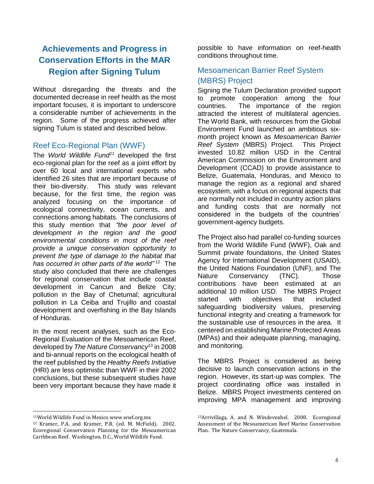# **Achievements and Progress in Conservation Efforts in the MAR Region after Signing Tulum**

Without disregarding the threats and the documented decrease in reef health as the most important focuses, it is important to underscore a considerable number of achievements in the region. Some of the progress achieved after signing Tulum is stated and described below.

# Reef Eco-Regional Plan (WWF)

The *World Wildlife Fund<sup>11</sup>* developed the first eco-regional plan for the reef as a joint effort by over 60 local and international experts who identified 26 sites that are important because of their bio-diversity. This study was relevant because, for the first time, the region was analyzed focusing on the importance of ecological connectivity, ocean currents, and connections among habitats. The conclusions of this study mention that *"the poor level of development in the region and the good environmental conditions in most of the reef provide a unique conservation opportunity to prevent the type of damage to the habitat that*  has occurred in other parts of the world"<sup>12</sup> The study also concluded that there are challenges for regional conservation that include coastal development in Cancun and Belize City; pollution in the Bay of Chetumal; agricultural pollution in La Ceiba and Trujillo and coastal development and overfishing in the Bay Islands of Honduras.

In the most recent analyses, such as the Eco-Regional Evaluation of the Mesoamerican Reef, developed by *The Nature Conservancy*<sup>13</sup> in 2008 and bi-annual reports on the ecological health of the reef published by the *Healthy Reefs Initiative*  (HRI) are less optimistic than WWF in their 2002 conclusions, but these subsequent studies have been very important because they have made it

possible to have information on reef-health conditions throughout time.

# Mesoamerican Barrier Reef System (MBRS) Project

Signing the Tulum Declaration provided support to promote cooperation among the four countries. The importance of the region attracted the interest of multilateral agencies. The World Bank, with resources from the Global Environment Fund launched an ambitious sixmonth project known as *Mesoamerican Barrier Reef System* (MBRS) Project. This Project invested 10.82 million USD in the Central American Commission on the Environment and Development (CCAD) to provide assistance to Belize, Guatemala, Honduras, and Mexico to manage the region as a regional and shared ecosystem, with a focus on regional aspects that are normally not included in country action plans and funding costs that are normally not considered in the budgets of the countries' government-agency budgets.

The Project also had parallel co-funding sources from the World Wildlife Fund (WWF), Oak and Summit private foundations, the United States Agency for International Development (USAID), the United Nations Foundation (UNF), and The Nature Conservancy (TNC). Those contributions have been estimated at an additional 10 million USD. The MBRS Project started with objectives that included safeguarding biodiversity values, preserving functional integrity and creating a framework for the sustainable use of resources in the area. It centered on establishing Marine Protected Areas (MPAs) and their adequate planning, managing, and monitoring.

The MBRS Project is considered as being decisive to launch conservation actions in the region. However, its start-up was complex. The project coordinating office was installed in Belize. MBRS Project investments centered on improving MPA management and improving

 $\overline{a}$ <sup>11</sup>World Wildlife Fund in Mexico www.wwf.org.mx

<sup>12</sup> Kramer, P.A. and Kramer, P.R. (ed. M. McField). 2002. Ecoregional Conservation Planning for the Mesoamerican Caribbean Reef. Washington, D.C., World Wildlife Fund.

<sup>13</sup>Arrivillaga, A. and N. Windevoxhel. 2008. Ecoregional Assessment of the Mesoamerican Reef Marine Conservation Plan. The Nature Conservancy, Guatemala.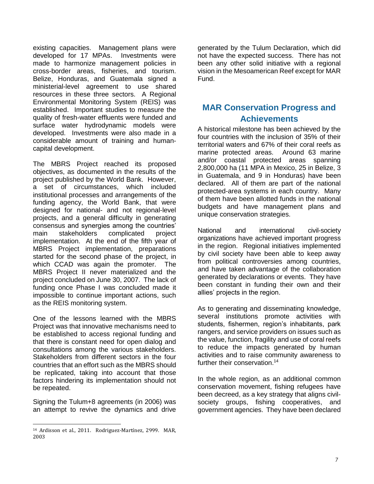existing capacities. Management plans were developed for 17 MPAs. Investments were made to harmonize management policies in cross-border areas, fisheries, and tourism. Belize, Honduras, and Guatemala signed a ministerial-level agreement to use shared resources in these three sectors. A Regional Environmental Monitoring System (REIS) was established. Important studies to measure the quality of fresh-water effluents were funded and surface water hydrodynamic models were developed. Investments were also made in a considerable amount of training and humancapital development.

The MBRS Project reached its proposed objectives, as documented in the results of the project published by the World Bank. However, a set of circumstances, which included institutional processes and arrangements of the funding agency, the World Bank, that were designed for national- and not regional-level projects, and a general difficulty in generating consensus and synergies among the countries' main stakeholders complicated project implementation. At the end of the fifth year of MBRS Project implementation, preparations started for the second phase of the project, in which CCAD was again the promoter. The MBRS Project II never materialized and the project concluded on June 30, 2007. The lack of funding once Phase I was concluded made it impossible to continue important actions, such as the REIS monitoring system.

One of the lessons learned with the MBRS Project was that innovative mechanisms need to be established to access regional funding and that there is constant need for open dialog and consultations among the various stakeholders. Stakeholders from different sectors in the four countries that an effort such as the MBRS should be replicated, taking into account that those factors hindering its implementation should not be repeated.

Signing the Tulum+8 agreements (in 2006) was an attempt to revive the dynamics and drive

generated by the Tulum Declaration, which did not have the expected success. There has not been any other solid initiative with a regional vision in the Mesoamerican Reef except for MAR Fund.

# **MAR Conservation Progress and Achievements**

A historical milestone has been achieved by the four countries with the inclusion of 35% of their territorial waters and 67% of their coral reefs as marine protected areas. Around 63 marine and/or coastal protected areas spanning 2,800,000 ha (11 MPA in Mexico, 25 in Belize, 3 in Guatemala, and 9 in Honduras) have been declared. All of them are part of the national protected-area systems in each country. Many of them have been allotted funds in the national budgets and have management plans and unique conservation strategies.

National and international civil-society organizations have achieved important progress in the region. Regional initiatives implemented by civil society have been able to keep away from political controversies among countries, and have taken advantage of the collaboration generated by declarations or events. They have been constant in funding their own and their allies' projects in the region.

As to generating and disseminating knowledge, several institutions promote activities with students, fishermen, region's inhabitants, park rangers, and service providers on issues such as the value, function, fragility and use of coral reefs to reduce the impacts generated by human activities and to raise community awareness to further their conservation.<sup>14</sup>

In the whole region, as an additional common conservation movement, fishing refugees have been decreed, as a key strategy that aligns civilsociety groups, fishing cooperatives, and government agencies. They have been declared

l <sup>14</sup> Ardisson et al., 2011. Rodriguez-Martínez, 2999. MAR, 2003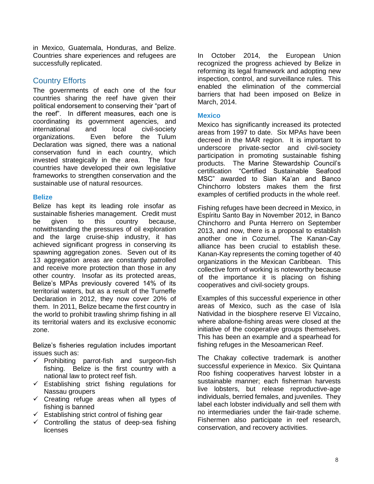in Mexico, Guatemala, Honduras, and Belize. Countries share experiences and refugees are successfully replicated.

## Country Efforts

The governments of each one of the four countries sharing the reef have given their political endorsement to conserving their "part of the reef". In different measures, each one is coordinating its government agencies, and international and local civil-society organizations. Even before the Tulum Declaration was signed, there was a national conservation fund in each country, which invested strategically in the area. The four countries have developed their own legislative frameworks to strengthen conservation and the sustainable use of natural resources.

#### **Belize**

Belize has kept its leading role insofar as sustainable fisheries management. Credit must be given to this country because, notwithstanding the pressures of oil exploration and the large cruise-ship industry, it has achieved significant progress in conserving its spawning aggregation zones. Seven out of its 13 aggregation areas are constantly patrolled and receive more protection than those in any other country. Insofar as its protected areas, Belize's MPAs previously covered 14% of its territorial waters, but as a result of the Turneffe Declaration in 2012, they now cover 20% of them. In 2011, Belize became the first country in the world to prohibit trawling shrimp fishing in all its territorial waters and its exclusive economic zone.

Belize's fisheries regulation includes important issues such as:

- $\checkmark$  Prohibiting parrot-fish and surgeon-fish fishing. Belize is the first country with a national law to protect reef fish.
- $\checkmark$  Establishing strict fishing regulations for Nassau groupers
- $\checkmark$  Creating refuge areas when all types of fishing is banned
- $\checkmark$  Establishing strict control of fishing gear
- $\checkmark$  Controlling the status of deep-sea fishing licenses

In October 2014, the European Union recognized the progress achieved by Belize in reforming its legal framework and adopting new inspection, control, and surveillance rules. This enabled the elimination of the commercial barriers that had been imposed on Belize in March, 2014.

#### **Mexico**

Mexico has significantly increased its protected areas from 1997 to date. Six MPAs have been decreed in the MAR region. It is important to underscore private-sector and civil-society participation in promoting sustainable fishing products. The Marine Stewardship Council's certification "Certified Sustainable Seafood MSC" awarded to Sian Ka'an and Banco Chinchorro lobsters makes them the first examples of certified products in the whole reef.

Fishing refuges have been decreed in Mexico, in Espíritu Santo Bay in November 2012, in Banco Chinchorro and Punta Herrero on September 2013, and now, there is a proposal to establish another one in Cozumel. The Kanan-Cay alliance has been crucial to establish these. Kanan-Kay represents the coming together of 40 organizations in the Mexican Caribbean. This collective form of working is noteworthy because of the importance it is placing on fishing cooperatives and civil-society groups.

Examples of this successful experience in other areas of Mexico, such as the case of Isla Natividad in the biosphere reserve El Vizcaíno, where abalone-fishing areas were closed at the initiative of the cooperative groups themselves. This has been an example and a spearhead for fishing refuges in the Mesoamerican Reef.

The Chakay collective trademark is another successful experience in Mexico. Six Quintana Roo fishing cooperatives harvest lobster in a sustainable manner; each fisherman harvests live lobsters, but release reproductive-age individuals, berried females, and juveniles. They label each lobster individually and sell them with no intermediaries under the fair-trade scheme. Fishermen also participate in reef research, conservation, and recovery activities.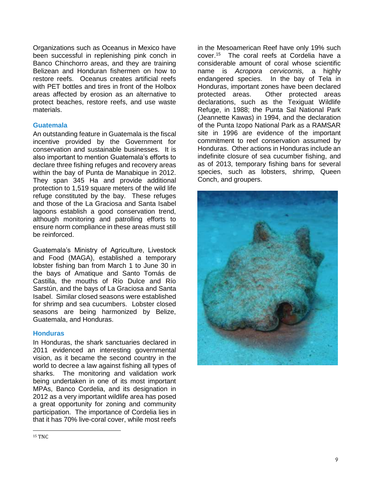Organizations such as Oceanus in Mexico have been successful in replenishing pink conch in Banco Chinchorro areas, and they are training Belizean and Honduran fishermen on how to restore reefs. Oceanus creates artificial reefs with PET bottles and tires in front of the Holbox areas affected by erosion as an alternative to protect beaches, restore reefs, and use waste materials.

#### **Guatemala**

An outstanding feature in Guatemala is the fiscal incentive provided by the Government for conservation and sustainable businesses. It is also important to mention Guatemala's efforts to declare three fishing refuges and recovery areas within the bay of Punta de Manabique in 2012. They span 345 Ha and provide additional protection to 1,519 square meters of the wild life refuge constituted by the bay. These refuges and those of the La Graciosa and Santa Isabel lagoons establish a good conservation trend, although monitoring and patrolling efforts to ensure norm compliance in these areas must still be reinforced.

Guatemala's Ministry of Agriculture, Livestock and Food (MAGA), established a temporary lobster fishing ban from March 1 to June 30 in the bays of Amatique and Santo Tomás de Castilla, the mouths of Río Dulce and Río Sarstún, and the bays of La Graciosa and Santa Isabel. Similar closed seasons were established for shrimp and sea cucumbers. Lobster closed seasons are being harmonized by Belize, Guatemala, and Honduras.

#### **Honduras**

In Honduras, the shark sanctuaries declared in 2011 evidenced an interesting governmental vision, as it became the second country in the world to decree a law against fishing all types of sharks. The monitoring and validation work being undertaken in one of its most important MPAs, Banco Cordelia, and its designation in 2012 as a very important wildlife area has posed a great opportunity for zoning and community participation. The importance of Cordelia lies in that it has 70% live-coral cover, while most reefs

in the Mesoamerican Reef have only 19% such cover.<sup>15</sup> The coral reefs at Cordelia have a considerable amount of coral whose scientific name is *Acropora cervicornis,* a highly endangered species. In the bay of Tela in Honduras, important zones have been declared protected areas. Other protected areas declarations, such as the Texiguat Wildlife Refuge, in 1988; the Punta Sal National Park (Jeannette Kawas) in 1994, and the declaration of the Punta Izopo National Park as a RAMSAR site in 1996 are evidence of the important commitment to reef conservation assumed by Honduras. Other actions in Honduras include an indefinite closure of sea cucumber fishing, and as of 2013, temporary fishing bans for several species, such as lobsters, shrimp, Queen Conch, and groupers.



l <sup>15</sup> TNC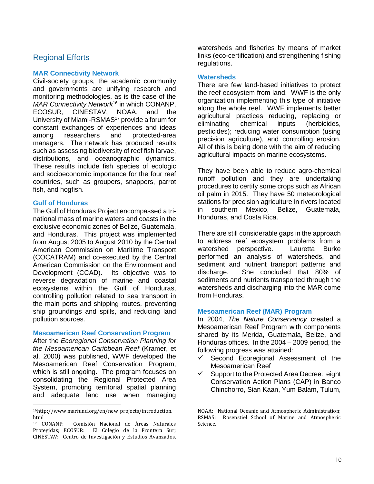# Regional Efforts

#### **MAR Connectivity Network**

Civil-society groups, the academic community and governments are unifying research and monitoring methodologies, as is the case of the *MAR Connectivity Network*<sup>16</sup> in which CONANP, ECOSUR, CINESTAV, NOAA, and the University of Miami-RSMAS<sup>17</sup> provide a forum for constant exchanges of experiences and ideas among researchers and protected-area managers. The network has produced results such as assessing biodiversity of reef fish larvae, distributions, and oceanographic dynamics. These results include fish species of ecologic and socioeconomic importance for the four reef countries, such as groupers, snappers, parrot fish, and hogfish.

#### **Gulf of Honduras**

 $\overline{a}$ 

The Gulf of Honduras Project encompassed a trinational mass of marine waters and coasts in the exclusive economic zones of Belize, Guatemala, and Honduras. This project was implemented from August 2005 to August 2010 by the Central American Commission on Maritime Transport (COCATRAM) and co-executed by the Central American Commission on the Environment and Development (CCAD). Its objective was to reverse degradation of marine and coastal ecosystems within the Gulf of Honduras, controlling pollution related to sea transport in the main ports and shipping routes, preventing ship groundings and spills, and reducing land pollution sources.

#### **Mesoamerican Reef Conservation Program**

After the *Ecoregional Conservation Planning for the Mesoamerican Caribbean Reef* (Kramer, et al, 2000) was published, WWF developed the Mesoamerican Reef Conservation Program, which is still ongoing. The program focuses on consolidating the Regional Protected Area System, promoting territorial spatial planning and adequate land use when managing

watersheds and fisheries by means of market links (eco-certification) and strengthening fishing regulations.

#### **Watersheds**

There are few land-based initiatives to protect the reef ecosystem from land. WWF is the only organization implementing this type of initiative along the whole reef. WWF implements better agricultural practices reducing, replacing or eliminating chemical inputs (herbicides, pesticides); reducing water consumption (using precision agriculture), and controlling erosion. All of this is being done with the aim of reducing agricultural impacts on marine ecosystems.

They have been able to reduce agro-chemical runoff pollution and they are undertaking procedures to certify some crops such as African oil palm in 2015. They have 50 meteorological stations for precision agriculture in rivers located in southern Mexico, Belize, Guatemala, Honduras, and Costa Rica.

There are still considerable gaps in the approach to address reef ecosystem problems from a watershed perspective. Lauretta Burke performed an analysis of watersheds, and sediment and nutrient transport patterns and discharge. She concluded that 80% of sediments and nutrients transported through the watersheds and discharging into the MAR come from Honduras.

#### **Mesoamerican Reef (MAR) Program**

In 2004, *The Nature Conservancy* created a Mesoamerican Reef Program with components shared by its Merida, Guatemala, Belize, and Honduras offices. In the 2004 – 2009 period, the following progress was attained:

- $\checkmark$  Second Ecoregional Assessment of the Mesoamerican Reef
- Support to the Protected Area Decree: eight Conservation Action Plans (CAP) in Banco Chinchorro, Sian Kaan, Yum Balam, Tulum,

<sup>16</sup>http://www.marfund.org/en/new\_projects/introduction. html<br><sup>17</sup> CONANP:

Comisión Nacional de Áreas Naturales Protegidas; ECOSUR: El Colegio de la Frontera Sur; CINESTAV: Centro de Investigación y Estudios Avanzados,

NOAA: National Oceanic and Atmospheric Administration; RSMAS: Rosenstiel School of Marine and Atmospheric Science.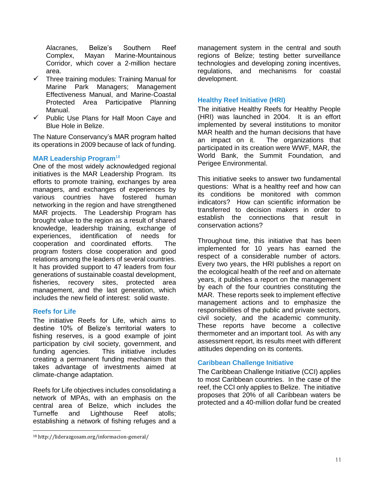Alacranes, Belize's Southern Reef Complex, Mayan Marine-Mountainous Corridor, which cover a 2-million hectare area.

- $\checkmark$  Three training modules: Training Manual for Marine Park Managers; Management Effectiveness Manual, and Marine-Coastal Protected Area Participative Planning Manual.
- $\checkmark$  Public Use Plans for Half Moon Caye and Blue Hole in Belize.

The Nature Conservancy's MAR program halted its operations in 2009 because of lack of funding.

#### **MAR Leadership Program**<sup>18</sup>

One of the most widely acknowledged regional initiatives is the MAR Leadership Program. Its efforts to promote training, exchanges by area managers, and exchanges of experiences by various countries have fostered human networking in the region and have strengthened MAR projects. The Leadership Program has brought value to the region as a result of shared knowledge, leadership training, exchange of experiences, identification of needs for cooperation and coordinated efforts. The program fosters close cooperation and good relations among the leaders of several countries. It has provided support to 47 leaders from four generations of sustainable coastal development, fisheries, recovery sites, protected area management, and the last generation, which includes the new field of interest: solid waste.

#### **Reefs for Life**

l

The initiative Reefs for Life, which aims to destine 10% of Belize's territorial waters to fishing reserves, is a good example of joint participation by civil society, government, and funding agencies. This initiative includes creating a permanent funding mechanism that takes advantage of investments aimed at climate-change adaptation.

Reefs for Life objectives includes consolidating a network of MPAs, with an emphasis on the central area of Belize, which includes the Turneffe and Lighthouse Reef atolls; establishing a network of fishing refuges and a

management system in the central and south regions of Belize; testing better surveillance technologies and developing zoning incentives, regulations, and mechanisms for coastal development.

#### **Healthy Reef Initiative (HRI)**

The initiative Healthy Reefs for Healthy People (HRI) was launched in 2004. It is an effort implemented by several institutions to monitor MAR health and the human decisions that have an impact on it. The organizations that participated in its creation were WWF, MAR, the World Bank, the Summit Foundation, and Perigee Environmental.

This initiative seeks to answer two fundamental questions: What is a healthy reef and how can its conditions be monitored with common indicators? How can scientific information be transferred to decision makers in order to establish the connections that result in conservation actions?

Throughout time, this initiative that has been implemented for 10 years has earned the respect of a considerable number of actors. Every two years, the HRI publishes a report on the ecological health of the reef and on alternate years, it publishes a report on the management by each of the four countries constituting the MAR. These reports seek to implement effective management actions and to emphasize the responsibilities of the public and private sectors, civil society, and the academic community. These reports have become a collective thermometer and an important tool. As with any assessment report, its results meet with different attitudes depending on its contents.

#### **Caribbean Challenge Initiative**

The Caribbean Challenge Initiative (CCI) applies to most Caribbean countries. In the case of the reef, the CCI only applies to Belize. The initiative proposes that 20% of all Caribbean waters be protected and a 40-million dollar fund be created

<sup>18</sup> <http://liderazgosam.org/informacion-general/>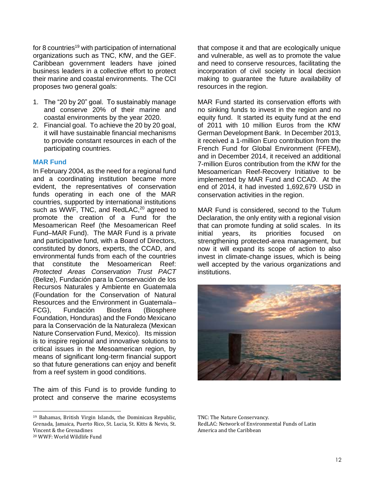for 8 countries<sup>19</sup> with participation of international organizations such as TNC, KfW, and the GEF. Caribbean government leaders have joined business leaders in a collective effort to protect their marine and coastal environments. The CCI proposes two general goals:

- 1. The "20 by 20" goal. To sustainably manage and conserve 20% of their marine and coastal environments by the year 2020.
- 2. Financial goal. To achieve the 20 by 20 goal. it will have sustainable financial mechanisms to provide constant resources in each of the participating countries.

#### **MAR Fund**

In February 2004, as the need for a regional fund and a coordinating institution became more evident, the representatives of conservation funds operating in each one of the MAR countries, supported by international institutions such as WWF, TNC, and RedLAC,<sup>20</sup> agreed to promote the creation of a Fund for the Mesoamerican Reef (the Mesoamerican Reef Fund–MAR Fund). The MAR Fund is a private and participative fund, with a Board of Directors, constituted by donors, experts, the CCAD, and environmental funds from each of the countries that constitute the Mesoamerican Reef: *Protected Areas Conservation Trust PACT* (Belize), Fundación para la Conservación de los Recursos Naturales y Ambiente en Guatemala (Foundation for the Conservation of Natural Resources and the Environment in Guatemala– FCG), Fundación Biosfera (Biosphere Foundation, Honduras) and the Fondo Mexicano para la Conservación de la Naturaleza (Mexican Nature Conservation Fund, Mexico). Its mission is to inspire regional and innovative solutions to critical issues in the Mesoamerican region, by means of significant long-term financial support so that future generations can enjoy and benefit from a reef system in good conditions.

The aim of this Fund is to provide funding to protect and conserve the marine ecosystems

 $\overline{a}$ 

that compose it and that are ecologically unique and vulnerable, as well as to promote the value and need to conserve resources, facilitating the incorporation of civil society in local decision making to guarantee the future availability of resources in the region.

MAR Fund started its conservation efforts with no sinking funds to invest in the region and no equity fund. It started its equity fund at the end of 2011 with 10 million Euros from the KfW German Development Bank. In December 2013, it received a 1-million Euro contribution from the French Fund for Global Environment (FFEM), and in December 2014, it received an additional 7-million Euros contribution from the KfW for the Mesoamerican Reef-Recovery Initiative to be implemented by MAR Fund and CCAD. At the end of 2014, it had invested 1,692,679 USD in conservation activities in the region.

MAR Fund is considered, second to the Tulum Declaration, the only entity with a regional vision that can promote funding at solid scales. In its initial years, its priorities focused on strengthening protected-area management, but now it will expand its scope of action to also invest in climate-change issues, which is being well accepted by the various organizations and institutions.



TNC: The Nature Conservancy. RedLAC: Network of Environmental Funds of Latin America and the Caribbean

<sup>19</sup> Bahamas, British Virgin Islands, the Dominican Republic, Grenada, Jamaica, Puerto Rico, St. Lucia, St. Kitts & Nevis, St. Vincent & the Grenadines

<sup>20</sup> WWF: World Wildlife Fund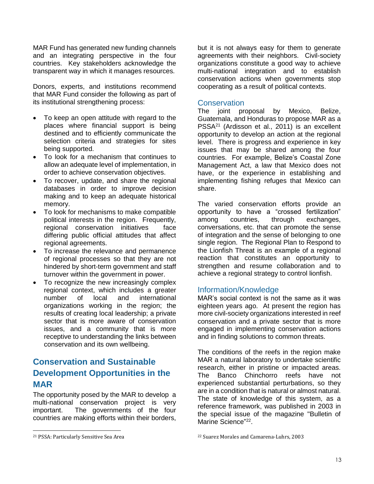MAR Fund has generated new funding channels and an integrating perspective in the four countries. Key stakeholders acknowledge the transparent way in which it manages resources.

Donors, experts, and institutions recommend that MAR Fund consider the following as part of its institutional strengthening process:

- To keep an open attitude with regard to the places where financial support is being destined and to efficiently communicate the selection criteria and strategies for sites being supported.
- To look for a mechanism that continues to allow an adequate level of implementation, in order to achieve conservation objectives.
- To recover, update, and share the regional databases in order to improve decision making and to keep an adequate historical memory.
- To look for mechanisms to make compatible political interests in the region. Frequently, regional conservation initiatives face differing public official attitudes that affect regional agreements.
- To increase the relevance and permanence of regional processes so that they are not hindered by short-term government and staff turnover within the government in power.
- To recognize the new increasingly complex regional context, which includes a greater number of local and international organizations working in the region; the results of creating local leadership; a private sector that is more aware of conservation issues, and a community that is more receptive to understanding the links between conservation and its own wellbeing.

# **Conservation and Sustainable Development Opportunities in the MAR**

The opportunity posed by the MAR to develop a multi-national conservation project is very important. The governments of the four countries are making efforts within their borders,

l

but it is not always easy for them to generate agreements with their neighbors. Civil-society organizations constitute a good way to achieve multi-national integration and to establish conservation actions when governments stop cooperating as a result of political contexts.

#### Conservation

The joint proposal by Mexico, Belize, Guatemala, and Honduras to propose MAR as a PSSA<sup>21</sup> (Ardisson et al., 2011) is an excellent opportunity to develop an action at the regional level. There is progress and experience in key issues that may be shared among the four countries. For example, Belize's Coastal Zone Management Act, a law that Mexico does not have, or the experience in establishing and implementing fishing refuges that Mexico can share.

The varied conservation efforts provide an opportunity to have a "crossed fertilization" among countries, through exchanges, conversations, etc. that can promote the sense of integration and the sense of belonging to one single region. The Regional Plan to Respond to the Lionfish Threat is an example of a regional reaction that constitutes an opportunity to strengthen and resume collaboration and to achieve a regional strategy to control lionfish.

#### Information/Knowledge

MAR's social context is not the same as it was eighteen years ago. At present the region has more civil-society organizations interested in reef conservation and a private sector that is more engaged in implementing conservation actions and in finding solutions to common threats.

The conditions of the reefs in the region make MAR a natural laboratory to undertake scientific research, either in pristine or impacted areas. The Banco Chinchorro reefs have not experienced substantial perturbations, so they are in a condition that is natural or almost natural. The state of knowledge of this system, as a reference framework, was published in 2003 in the special issue of the magazine "Bulletin of Marine Science"<sup>22</sup>.

<sup>21</sup> PSSA: Particularly Sensitive Sea Area

<sup>22</sup> Suarez Morales and Camarena-Luhrs, 2003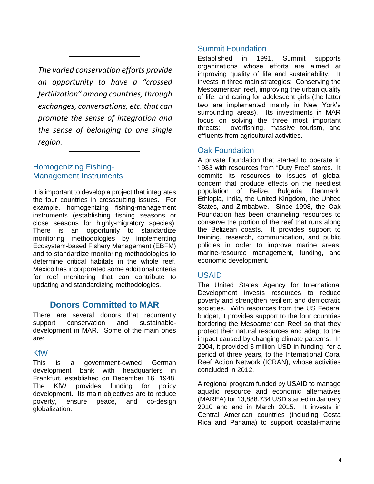*The varied conservation efforts provide an opportunity to have a "crossed fertilization" among countries, through exchanges, conversations, etc. that can promote the sense of integration and the sense of belonging to one single region.*

# Homogenizing Fishing-Management Instruments

It is important to develop a project that integrates the four countries in crosscutting issues. For example, homogenizing fishing-management instruments (establishing fishing seasons or close seasons for highly-migratory species). There is an opportunity to standardize monitoring methodologies by implementing Ecosystem-based Fishery Management (EBFM) and to standardize monitoring methodologies to determine critical habitats in the whole reef. Mexico has incorporated some additional criteria for reef monitoring that can contribute to updating and standardizing methodologies.

# **Donors Committed to MAR**

There are several donors that recurrently support conservation and sustainabledevelopment in MAR. Some of the main ones are:

# KfW

This is a government-owned German development bank with headquarters in Frankfurt, established on December 16, 1948. The KfW provides funding for policy development. Its main objectives are to reduce poverty, ensure peace, and co-design globalization.

# Summit Foundation

Established in 1991, Summit supports organizations whose efforts are aimed at improving quality of life and sustainability. It invests in three main strategies: Conserving the Mesoamerican reef, improving the urban quality of life, and caring for adolescent girls (the latter two are implemented mainly in New York's surrounding areas). Its investments in MAR focus on solving the three most important threats: overfishing, massive tourism, and effluents from agricultural activities.

# Oak Foundation

A private foundation that started to operate in 1983 with resources from "Duty Free" stores. It commits its resources to issues of global concern that produce effects on the neediest population of Belize, Bulgaria, Denmark, Ethiopia, India, the United Kingdom, the United States, and Zimbabwe. Since 1998, the Oak Foundation has been channeling resources to conserve the portion of the reef that runs along the Belizean coasts. It provides support to training, research, communication, and public policies in order to improve marine areas, marine-resource management, funding, and economic development.

# USAID

The United States Agency for International Development invests resources to reduce poverty and strengthen resilient and democratic societies. With resources from the US Federal budget, it provides support to the four countries bordering the Mesoamerican Reef so that they protect their natural resources and adapt to the impact caused by changing climate patterns. In 2004, it provided 3 million USD in funding, for a period of three years, to the International Coral Reef Action Network (ICRAN), whose activities concluded in 2012.

A regional program funded by USAID to manage aquatic resource and economic alternatives (MAREA) for 13,888.734 USD started in January 2010 and end in March 2015. It invests in Central American countries (including Costa Rica and Panama) to support coastal-marine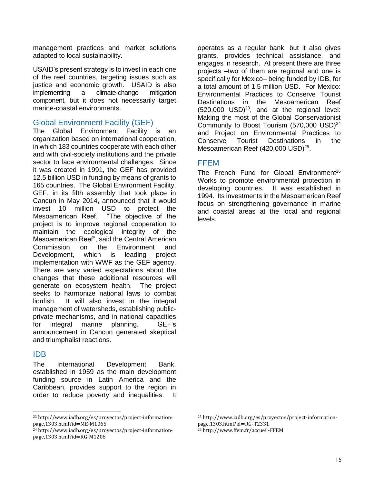management practices and market solutions adapted to local sustainability.

USAID's present strategy is to invest in each one of the reef countries, targeting issues such as justice and economic growth. USAID is also implementing a climate-change mitigation component, but it does not necessarily target marine-coastal environments.

### Global Environment Facility (GEF)

The Global Environment Facility is an organization based on international cooperation, in which 183 countries cooperate with each other and with civil-society institutions and the private sector to face environmental challenges. Since it was created in 1991, the GEF has provided 12.5 billion USD in funding by means of grants to 165 countries. The Global Environment Facility, GEF, in its fifth assembly that took place in Cancun in May 2014, announced that it would invest 10 million USD to protect the Mesoamerican Reef. "The objective of the project is to improve regional cooperation to maintain the ecological integrity of the Mesoamerican Reef", said the Central American Commission on the Environment and Development, which is leading project implementation with WWF as the GEF agency. There are very varied expectations about the changes that these additional resources will generate on ecosystem health. The project seeks to harmonize national laws to combat lionfish. It will also invest in the integral management of watersheds, establishing publicprivate mechanisms, and in national capacities for integral marine planning. GEF's announcement in Cancun generated skeptical and triumphalist reactions.

#### IDB

 $\overline{a}$ 

The International Development Bank, established in 1959 as the main development funding source in Latin America and the Caribbean, provides support to the region in order to reduce poverty and inequalities. It

operates as a regular bank, but it also gives grants, provides technical assistance, and engages in research. At present there are three projects –two of them are regional and one is specifically for Mexico– being funded by IDB, for a total amount of 1.5 million USD. For Mexico: Environmental Practices to Conserve Tourist Destinations in the Mesoamerican Reef  $(520,000$  USD $)^{23}$ , and at the regional level: Making the most of the Global Conservationist Community to Boost Tourism  $(570,000 \text{ USD})^{24}$ and Project on Environmental Practices to Conserve Tourist Destinations in the Mesoamerican Reef (420,000 USD)<sup>25</sup>.

# FFEM

The French Fund for Global Environment<sup>26</sup> Works to promote environmental protection in developing countries. It was established in 1994. Its investments in the Mesoamerican Reef focus on strengthening governance in marine and coastal areas at the local and regional levels.

<sup>23</sup> http://www.iadb.org/es/proyectos/project-informationpage,1303.html?id=ME-M1065

<sup>24</sup> http://www.iadb.org/es/proyectos/project-informationpage,1303.html?id=RG-M1206

<sup>25</sup> http://www.iadb.org/es/proyectos/project-informationpage,1303.html?id=RG-T2331

<sup>26</sup> http://www.ffem.fr/accueil-FFEM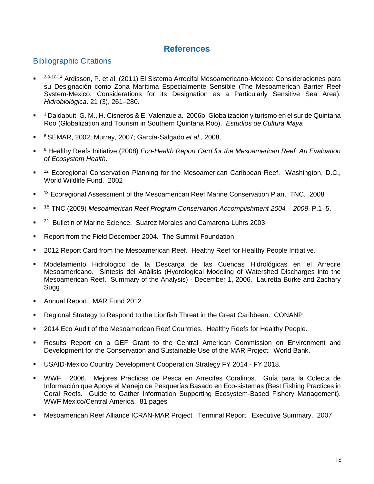# **References**

# Bibliographic Citations

- . <sup>2-9-10-14</sup> Ardisson, P. et al. (2011) El Sistema Arrecifal Mesoamericano-Mexico: Consideraciones para su Designación como Zona Marítima Especialmente Sensible (The Mesoamerican Barrier Reef System-Mexico: Considerations for its Designation as a Particularly Sensitive Sea Area). *Hidrobiológica*. 21 (3), 261–280.
- $\blacksquare$ <sup>3</sup> Daldabuit, G. M., H. Cisneros & E. Valenzuela. 2006b. Globalización y turismo en el sur de Quintana Roo (Globalization and Tourism in Southern Quintana Roo). *Estudios de Cultura Maya*
- . <sup>6</sup>SEMAR, 2002; Murray, 2007; García-Salgado *et al*., 2008.
- . <sup>8</sup> Healthy Reefs Initiative (2008) *Eco-Health Report Card for the Mesoamerican Reef: An Evaluation of Ecosystem Health*.
- . <sup>12</sup> Ecoregional Conservation Planning for the Mesoamerican Caribbean Reef. Washington, D.C., World Wildlife Fund. 2002
- . <sup>13</sup> Ecoregional Assessment of the Mesoamerican Reef Marine Conservation Plan. TNC. 2008
- . <sup>15</sup> TNC (2009) *Mesoamerican Reef Program Conservation Accomplishment 2004 – 2009*. P.1–5.
- . <sup>22</sup> Bulletin of Marine Science. Suarez Morales and Camarena-Luhrs 2003
- **Report from the Field December 2004. The Summit Foundation**
- 2012 Report Card from the Mesoamerican Reef. Healthy Reef for Healthy People Initiative.
- Modelamiento Hidrológico de la Descarga de las Cuencas Hidrológicas en el Arrecife Mesoamericano. Síntesis del Análisis (Hydrological Modeling of Watershed Discharges into the Mesoamerican Reef. Summary of the Analysis) - December 1, 2006. Lauretta Burke and Zachary Sugg
- **Annual Report. MAR Fund 2012**
- Regional Strategy to Respond to the Lionfish Threat in the Great Caribbean. CONANP
- 2014 Eco Audit of the Mesoamerican Reef Countries. Healthy Reefs for Healthy People.
- Results Report on a GEF Grant to the Central American Commission on Environment and Development for the Conservation and Sustainable Use of the MAR Project. World Bank.
- USAID-Mexico Country Development Cooperation Strategy FY 2014 FY 2018.
- WWF. 2006. Mejores Prácticas de Pesca en Arrecifes Coralinos. Guía para la Colecta de Información que Apoye el Manejo de Pesquerías Basado en Eco-sistemas (Best Fishing Practices in Coral Reefs. Guide to Gather Information Supporting Ecosystem-Based Fishery Management). WWF Mexico/Central America. 81 pages
- Mesoamerican Reef Alliance ICRAN-MAR Project. Terminal Report. Executive Summary. 2007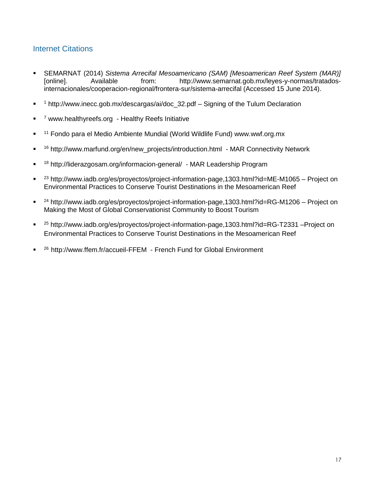# Internet Citations

- SEMARNAT (2014) *Sistema Arrecifal Mesoamericano (SAM) [Mesoamerican Reef System (MAR)]* [online]. Available from: http://www.semarnat.gob.mx/leyes-y-normas/tratadosinternacionales/cooperacion-regional/frontera-sur/sistema-arrecifal (Accessed 15 June 2014).
- $\blacksquare$ <sup>1</sup> http://www.inecc.gob.mx/descargas/ai/doc\_32.pdf – Signing of the Tulum Declaration
- $\blacksquare$ <sup>7</sup> [www.healthyreefs.org](http://www.healthyreefs.org/) - Healthy Reefs Initiative
- . <sup>11</sup> Fondo para el Medio Ambiente Mundial (World Wildlife Fund) [www.wwf.org.mx](http://www.wwf.org.mx/)
- . <sup>16</sup> [http://www.marfund.org/en/new\\_projects/introduction.html](http://www.marfund.org/en/new_projects/introduction.html) - MAR Connectivity Network
- . <sup>18</sup> <http://liderazgosam.org/informacion-general/>- MAR Leadership Program
- .  $23$  http://www.iadb.org/es/proyectos/project-information-page,1303.html?id=ME-M1065 – Project on Environmental Practices to Conserve Tourist Destinations in the Mesoamerican Reef
- $\blacksquare$  $24$  http://www.iadb.org/es/proyectos/project-information-page,1303.html?id=RG-M1206 – Project on Making the Most of Global Conservationist Community to Boost Tourism
- $\blacksquare$ <sup>25</sup> http://www.iadb.org/es/proyectos/project-information-page,1303.html?id=RG-T2331 –Project on Environmental Practices to Conserve Tourist Destinations in the Mesoamerican Reef
- $\blacksquare$ <sup>26</sup> http://www.ffem.fr/accueil-FFEM - French Fund for Global Environment